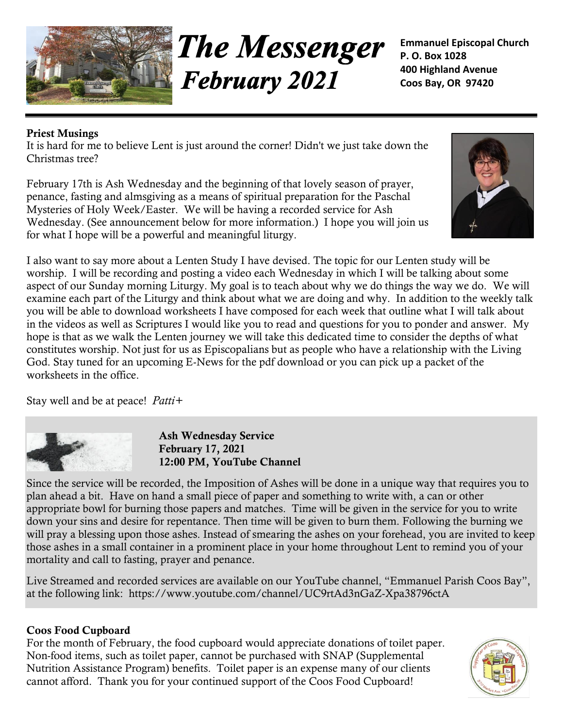

**The Messenger February 2021** 

**Emmanuel Episcopal Church P. O. Box 1028 400 Highland Avenue Coos Bay, OR 97420**

### **Priest Musings**

It is hard for me to believe Lent is just around the corner! Didn't we just take down the Christmas tree?

February 17th is Ash Wednesday and the beginning of that lovely season of prayer, penance, fasting and almsgiving as a means of spiritual preparation for the Paschal Mysteries of Holy Week/Easter. We will be having a recorded service for Ash Wednesday. (See announcement below for more information.) I hope you will join us for what I hope will be a powerful and meaningful liturgy.



I also want to say more about a Lenten Study I have devised. The topic for our Lenten study will be worship. I will be recording and posting a video each Wednesday in which I will be talking about some aspect of our Sunday morning Liturgy. My goal is to teach about why we do things the way we do. We will examine each part of the Liturgy and think about what we are doing and why. In addition to the weekly talk you will be able to download worksheets I have composed for each week that outline what I will talk about in the videos as well as Scriptures I would like you to read and questions for you to ponder and answer. My hope is that as we walk the Lenten journey we will take this dedicated time to consider the depths of what constitutes worship. Not just for us as Episcopalians but as people who have a relationship with the Living God. Stay tuned for an upcoming E-News for the pdf download or you can pick up a packet of the worksheets in the office.

Stay well and be at peace! *Patti+*



**Ash Wednesday Service February 17, 2021 12:00 PM, YouTube Channel**

Since the service will be recorded, the Imposition of Ashes will be done in a unique way that requires you to plan ahead a bit. Have on hand a small piece of paper and something to write with, a can or other appropriate bowl for burning those papers and matches. Time will be given in the service for you to write down your sins and desire for repentance. Then time will be given to burn them. Following the burning we will pray a blessing upon those ashes. Instead of smearing the ashes on your forehead, you are invited to keep those ashes in a small container in a prominent place in your home throughout Lent to remind you of your mortality and call to fasting, prayer and penance.

Live Streamed and recorded services are available on our YouTube channel, "Emmanuel Parish Coos Bay", at the following link: <https://www.youtube.com/channel/UC9rtAd3nGaZ-Xpa38796ctA>

## **Coos Food Cupboard**

For the month of February, the food cupboard would appreciate donations of toilet paper. Non-food items, such as toilet paper, cannot be purchased with SNAP (Supplemental Nutrition Assistance Program) benefits. Toilet paper is an expense many of our clients cannot afford. Thank you for your continued support of the Coos Food Cupboard!

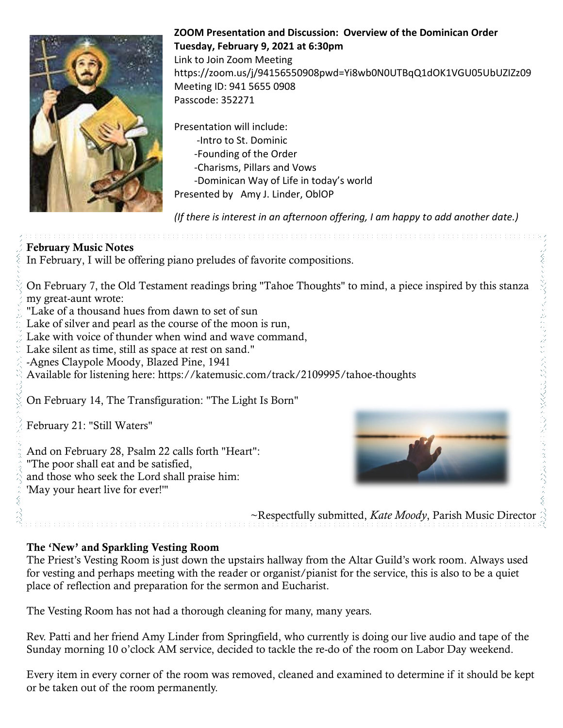

## **ZOOM Presentation and Discussion: Overview of the Dominican Order Tuesday, February 9, 2021 at 6:30pm** Link to Join Zoom Meeting

https://zoom.us/j/94156550908pwd=Yi8wb0N0UTBqQ1dOK1VGU05UbUZIZz09 Meeting ID: 941 5655 0908 Passcode: 352271

Presentation will include: -Intro to St. Dominic -Founding of the Order -Charisms, Pillars and Vows -Dominican Way of Life in today's world Presented by Amy J. Linder, OblOP

*(If there is interest in an afternoon offering, I am happy to add another date.)*

# **February Music Notes**

In February, I will be offering piano preludes of favorite compositions.

On February 7, the Old Testament readings bring "Tahoe Thoughts" to mind, a piece inspired by this stanza my great-aunt wrote:

"Lake of a thousand hues from dawn to set of sun

Lake of silver and pearl as the course of the moon is run,

Lake with voice of thunder when wind and wave command,

Lake silent as time, still as space at rest on sand."

-Agnes Claypole Moody, Blazed Pine, 1941

Available for listening here:<https://katemusic.com/track/2109995/tahoe-thoughts>

On February 14, The Transfiguration: "The Light Is Born"

February 21: "Still Waters"

And on February 28, Psalm 22 calls forth "Heart": "The poor shall eat and be satisfied, and those who seek the Lord shall praise him: 'May your heart live for ever!'"



~Respectfully submitted, *Kate Moody*, Parish Music Director

## **The 'New' and Sparkling Vesting Room**

The Priest's Vesting Room is just down the upstairs hallway from the Altar Guild's work room. Always used for vesting and perhaps meeting with the reader or organist/pianist for the service, this is also to be a quiet place of reflection and preparation for the sermon and Eucharist.

The Vesting Room has not had a thorough cleaning for many, many years.

Rev. Patti and her friend Amy Linder from Springfield, who currently is doing our live audio and tape of the Sunday morning 10 o'clock AM service, decided to tackle the re-do of the room on Labor Day weekend.

Every item in every corner of the room was removed, cleaned and examined to determine if it should be kept or be taken out of the room permanently.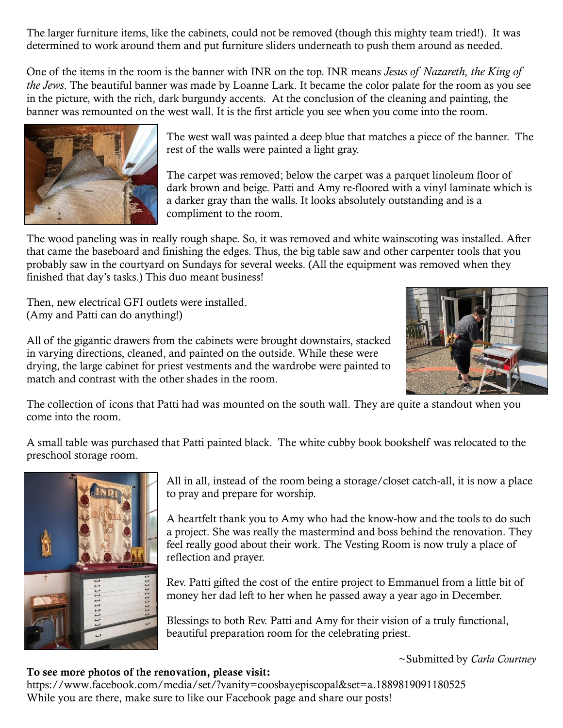The larger furniture items, like the cabinets, could not be removed (though this mighty team tried!). It was determined to work around them and put furniture sliders underneath to push them around as needed.

One of the items in the room is the banner with INR on the top. INR means *Jesus of Nazareth, the King of the Jews*. The beautiful banner was made by Loanne Lark. It became the color palate for the room as you see in the picture, with the rich, dark burgundy accents. At the conclusion of the cleaning and painting, the banner was remounted on the west wall. It is the first article you see when you come into the room.



The west wall was painted a deep blue that matches a piece of the banner. The rest of the walls were painted a light gray.

The carpet was removed; below the carpet was a parquet linoleum floor of dark brown and beige. Patti and Amy re-floored with a vinyl laminate which is a darker gray than the walls. It looks absolutely outstanding and is a compliment to the room.

The wood paneling was in really rough shape. So, it was removed and white wainscoting was installed. After that came the baseboard and finishing the edges. Thus, the big table saw and other carpenter tools that you probably saw in the courtyard on Sundays for several weeks. (All the equipment was removed when they finished that day's tasks.) This duo meant business!

Then, new electrical GFI outlets were installed. (Amy and Patti can do anything!)

All of the gigantic drawers from the cabinets were brought downstairs, stacked in varying directions, cleaned, and painted on the outside. While these were drying, the large cabinet for priest vestments and the wardrobe were painted to match and contrast with the other shades in the room.



The collection of icons that Patti had was mounted on the south wall. They are quite a standout when you come into the room.

A small table was purchased that Patti painted black. The white cubby book bookshelf was relocated to the preschool storage room.



All in all, instead of the room being a storage/closet catch-all, it is now a place to pray and prepare for worship.

A heartfelt thank you to Amy who had the know-how and the tools to do such a project. She was really the mastermind and boss behind the renovation. They feel really good about their work. The Vesting Room is now truly a place of reflection and prayer.

Rev. Patti gifted the cost of the entire project to Emmanuel from a little bit of money her dad left to her when he passed away a year ago in December.

Blessings to both Rev. Patti and Amy for their vision of a truly functional, beautiful preparation room for the celebrating priest.

~Submitted by *Carla Courtney*

## **To see more photos of the renovation, please visit:**

<https://www.facebook.com/media/set/?vanity=coosbayepiscopal&set=a.1889819091180525> While you are there, make sure to like our Facebook page and share our posts!